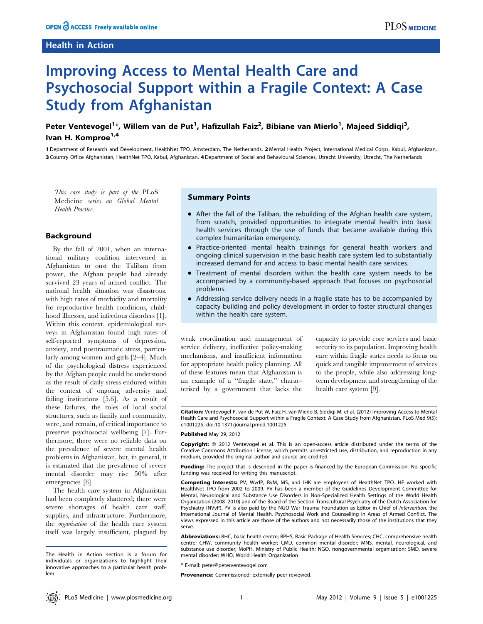# Health in Action

# Improving Access to Mental Health Care and Psychosocial Support within a Fragile Context: A Case Study from Afghanistan

# Peter Ventevogel<sup>1</sup>\*, Willem van de Put<sup>1</sup>, Hafizullah Faiz<sup>2</sup>, Bibiane van Mierlo<sup>1</sup>, Majeed Siddiqi<sup>3</sup>, Ivan H. Komproe $<sup>1,4</sup>$ </sup>

1 Department of Research and Development, HealthNet TPO, Amsterdam, The Netherlands, 2 Mental Health Project, International Medical Corps, Kabul, Afghanistan, 3 Country Office Afghanistan, HealthNet TPO, Kabul, Afghanistan, 4Department of Social and Behavioural Sciences, Utrecht University, Utrecht, The Netherlands

This case study is part of the PLoS Medicine series on Global Mental Health Practice.

## Background

By the fall of 2001, when an international military coalition intervened in Afghanistan to oust the Taliban from power, the Afghan people had already survived 23 years of armed conflict. The national health situation was disastrous, with high rates of morbidity and mortality for reproductive health conditions, childhood illnesses, and infectious disorders [1]. Within this context, epidemiological surveys in Afghanistan found high rates of self-reported symptoms of depression, anxiety, and posttraumatic stress, particularly among women and girls [2–4]. Much of the psychological distress experienced by the Afghan people could be understood as the result of daily stress endured within the context of ongoing adversity and failing institutions [5,6]. As a result of these failures, the roles of local social structures, such as family and community, were, and remain, of critical importance to preserve psychosocial wellbeing [7]. Furthermore, there were no reliable data on the prevalence of severe mental health problems in Afghanistan, but, in general, it is estimated that the prevalence of severe mental disorder may rise 50% after emergencies [8].

The health care system in Afghanistan had been completely shattered; there were severe shortages of health care staff, supplies, and infrastructure. Furthermore, the organisation of the health care system itself was largely insufficient, plagued by

#### Summary Points

- After the fall of the Taliban, the rebuilding of the Afghan health care system, from scratch, provided opportunities to integrate mental health into basic health services through the use of funds that became available during this complex humanitarian emergency.
- Practice-oriented mental health trainings for general health workers and ongoing clinical supervision in the basic health care system led to substantially increased demand for and access to basic mental health care services.
- Treatment of mental disorders within the health care system needs to be accompanied by a community-based approach that focuses on psychosocial problems.
- Addressing service delivery needs in a fragile state has to be accompanied by capacity building and policy development in order to foster structural changes within the health care system.

weak coordination and management of service delivery, ineffective policy-making mechanisms, and insufficient information for appropriate health policy planning. All of these features mean that Afghanistan is an example of a ''fragile state,'' characterised by a government that lacks the

capacity to provide core services and basic security to its population. Improving health care within fragile states needs to focus on quick and tangible improvement of services to the people, while also addressing longterm development and strengthening of the health care system [9].

Citation: Ventevogel P, van de Put W, Faiz H, van Mierlo B, Siddiqi M, et al. (2012) Improving Access to Mental Health Care and Psychosocial Support within a Fragile Context: A Case Study from Afghanistan. PLoS Med 9(5): e1001225. doi:10.1371/journal.pmed.1001225

#### Published May 29, 2012

Copyright: © 2012 Ventevogel et al. This is an open-access article distributed under the terms of the Creative Commons Attribution License, which permits unrestricted use, distribution, and reproduction in any medium, provided the original author and source are credited.

Funding: The project that is described in the paper is financed by the European Commission. No specific funding was received for writing this manuscript.

Competing Interests: PV, WvdP, BvM, MS, and IHK are employees of HealthNet TPO. HF worked with HealthNet TPO from 2002 to 2009. PV has been a member of the Guidelines Development Committee for Mental, Neurological and Substance Use Disorders in Non-Specialized Health Settings of the World Health Organization (2008–2010) and of the Board of the Section Transcultural Psychiatry of the Dutch Association for Psychiatry (NVvP). PV is also paid by the NGO War Trauma Foundation as Editor in Chief of Intervention, the International Journal of Mental Health, Psychosocial Work and Counselling in Areas of Armed Conflict. The views expressed in this article are those of the authors and not necessarily those of the institutions that they serve.

Abbreviations: BHC, basic health centre; BPHS, Basic Package of Health Services; CHC, comprehensive health centre; CHW, community health worker; CMD, common mental disorder; MNS, mental, neurological, and substance use disorder; MoPH, Ministry of Public Health; NGO, nongovernmental organisation; SMD, severe mental disorder; WHO, World Health Organization

\* E-mail: peter@peterventevogel.com

Provenance: Commissioned; externally peer reviewed.

The Health in Action section is a forum for individuals or organizations to highlight their innovative approaches to a particular health problem.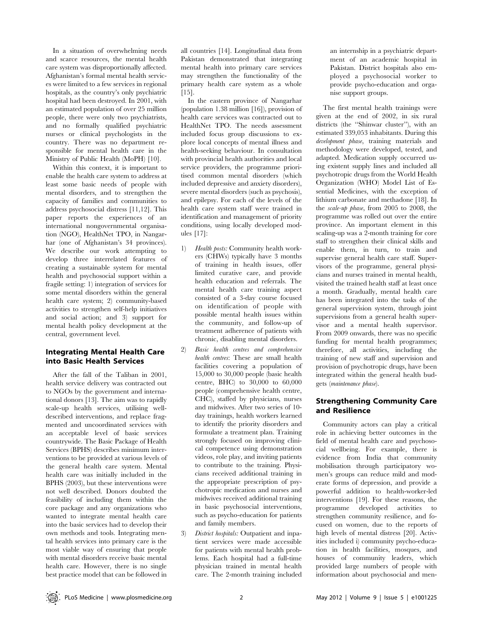In a situation of overwhelming needs and scarce resources, the mental health care system was disproportionally affected. Afghanistan's formal mental health services were limited to a few services in regional hospitals, as the country's only psychiatric hospital had been destroyed. In 2001, with an estimated population of over 25 million people, there were only two psychiatrists, and no formally qualified psychiatric nurses or clinical psychologists in the country. There was no department responsible for mental health care in the Ministry of Public Health (MoPH) [10].

Within this context, it is important to enable the health care system to address at least some basic needs of people with mental disorders, and to strengthen the capacity of families and communities to address psychosocial distress [11,12]. This paper reports the experiences of an international nongovernmental organisation (NGO), HealthNet TPO, in Nangarhar (one of Afghanistan's 34 provinces). We describe our work attempting to develop three interrelated features of creating a sustainable system for mental health and psychosocial support within a fragile setting: 1) integration of services for some mental disorders within the general health care system; 2) community-based activities to strengthen self-help initiatives and social action; and 3) support for mental health policy development at the central, government level.

## Integrating Mental Health Care into Basic Health Services

After the fall of the Taliban in 2001, health service delivery was contracted out to NGOs by the government and international donors [13]. The aim was to rapidly scale-up health services, utilising welldescribed interventions, and replace fragmented and uncoordinated services with an acceptable level of basic services countrywide. The Basic Package of Health Services (BPHS) describes minimum interventions to be provided at various levels of the general health care system. Mental health care was initially included in the BPHS (2003), but these interventions were not well described. Donors doubted the feasibility of including them within the core package and any organizations who wanted to integrate mental health care into the basic services had to develop their own methods and tools. Integrating mental health services into primary care is the most viable way of ensuring that people with mental disorders receive basic mental health care. However, there is no single best practice model that can be followed in all countries [14]. Longitudinal data from Pakistan demonstrated that integrating mental health into primary care services may strengthen the functionality of the primary health care system as a whole [15].

In the eastern province of Nangarhar (population 1.38 million [16]), provision of health care services was contracted out to HealthNet TPO. The needs assessment included focus group discussions to explore local concepts of mental illness and health-seeking behaviour. In consultation with provincial health authorities and local service providers, the programme prioritised common mental disorders (which included depressive and anxiety disorders), severe mental disorders (such as psychosis), and epilepsy. For each of the levels of the health care system staff were trained in identification and management of priority conditions, using locally developed modules [17]:

- 1) Health posts: Community health workers (CHWs) typically have 3 months of training in health issues, offer limited curative care, and provide health education and referrals. The mental health care training aspect consisted of a 3-day course focused on identification of people with possible mental health issues within the community, and follow-up of treatment adherence of patients with chronic, disabling mental disorders.
- 2) Basic health centres and comprehensive health centres: These are small health facilities covering a population of 15,000 to 30,000 people (basic health centre, BHC) to 30,000 to 60,000 people (comprehensive health centre, CHC), staffed by physicians, nurses and midwives. After two series of 10 day trainings, health workers learned to identify the priority disorders and formulate a treatment plan. Training strongly focused on improving clinical competence using demonstration videos, role play, and inviting patients to contribute to the training. Physicians received additional training in the appropriate prescription of psychotropic medication and nurses and midwives received additional training in basic psychosocial interventions, such as psycho-education for patients and family members.
- 3) District hospitals: Outpatient and inpatient services were made accessible for patients with mental health problems. Each hospital had a full-time physician trained in mental health care. The 2-month training included

an internship in a psychiatric department of an academic hospital in Pakistan. District hospitals also employed a psychosocial worker to provide psycho-education and organise support groups.

The first mental health trainings were given at the end of 2002, in six rural districts (the ''Shinwar cluster''), with an estimated 339,053 inhabitants. During this development phase, training materials and methodology were developed, tested, and adapted. Medication supply occurred using existent supply lines and included all psychotropic drugs from the World Health Organization (WHO) Model List of Essential Medicines, with the exception of lithium carbonate and methadone [18]. In the scale-up phase, from 2005 to 2008, the programme was rolled out over the entire province. An important element in this scaling-up was a 2-month training for core staff to strengthen their clinical skills and enable them, in turn, to train and supervise general health care staff. Supervisors of the programme, general physicians and nurses trained in mental health, visited the trained health staff at least once a month. Gradually, mental health care has been integrated into the tasks of the general supervision system, through joint supervisions from a general health supervisor and a mental health supervisor. From 2009 onwards, there was no specific funding for mental health programmes; therefore, all activities, including the training of new staff and supervision and provision of psychotropic drugs, have been integrated within the general health budgets (maintenance phase).

# Strengthening Community Care and Resilience

Community actors can play a critical role in achieving better outcomes in the field of mental health care and psychosocial wellbeing. For example, there is evidence from India that community mobilisation through participatory women's groups can reduce mild and moderate forms of depression, and provide a powerful addition to health-worker-led interventions [19]. For these reasons, the programme developed activities to strengthen community resilience, and focused on women, due to the reports of high levels of mental distress [20]. Activities included i) community psycho-education in health facilities, mosques, and houses of community leaders, which provided large numbers of people with information about psychosocial and men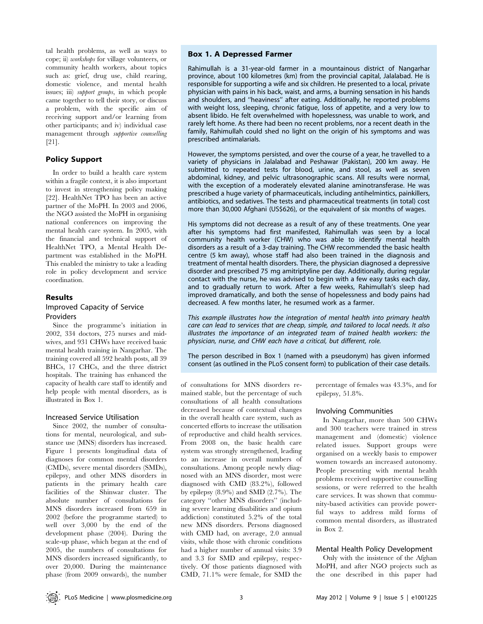tal health problems, as well as ways to cope; ii) workshops for village volunteers, or community health workers, about topics such as: grief, drug use, child rearing, domestic violence, and mental health issues; iii) *support groups*, in which people came together to tell their story, or discuss a problem, with the specific aim of receiving support and/or learning from other participants; and iv) individual case management through supportive counselling [21].

## Policy Support

In order to build a health care system within a fragile context, it is also important to invest in strengthening policy making [22]. HealthNet TPO has been an active partner of the MoPH. In 2003 and 2006, the NGO assisted the MoPH in organising national conferences on improving the mental health care system. In 2005, with the financial and technical support of HealthNet TPO, a Mental Health Department was established in the MoPH. This enabled the ministry to take a leading role in policy development and service coordination.

#### Results

#### Improved Capacity of Service Providers

Since the programme's initiation in 2002, 334 doctors, 275 nurses and midwives, and 931 CHWs have received basic mental health training in Nangarhar. The training covered all 592 health posts, all 39 BHCs, 17 CHCs, and the three district hospitals. The training has enhanced the capacity of health care staff to identify and help people with mental disorders, as is illustrated in Box 1.

#### Increased Service Utilisation

Since 2002, the number of consultations for mental, neurological, and substance use (MNS) disorders has increased. Figure 1 presents longitudinal data of diagnoses for common mental disorders (CMDs), severe mental disorders (SMDs), epilepsy, and other MNS disorders in patients in the primary health care facilities of the Shinwar cluster. The absolute number of consultations for MNS disorders increased from 659 in 2002 (before the programme started) to well over 3,000 by the end of the development phase (2004). During the scale-up phase, which began at the end of 2005, the numbers of consultations for MNS disorders increased significantly, to over 20,000. During the maintenance phase (from 2009 onwards), the number

#### Box 1. A Depressed Farmer

Rahimullah is a 31-year-old farmer in a mountainous district of Nangarhar province, about 100 kilometres (km) from the provincial capital, Jalalabad. He is responsible for supporting a wife and six children. He presented to a local, private physician with pains in his back, waist, and arms, a burning sensation in his hands and shoulders, and ''heaviness'' after eating. Additionally, he reported problems with weight loss, sleeping, chronic fatigue, loss of appetite, and a very low to absent libido. He felt overwhelmed with hopelessness, was unable to work, and rarely left home. As there had been no recent problems, nor a recent death in the family, Rahimullah could shed no light on the origin of his symptoms and was prescribed antimalarials.

However, the symptoms persisted, and over the course of a year, he travelled to a variety of physicians in Jalalabad and Peshawar (Pakistan), 200 km away. He submitted to repeated tests for blood, urine, and stool, as well as seven abdominal, kidney, and pelvic ultrasonographic scans. All results were normal, with the exception of a moderately elevated alanine aminotransferase. He was prescribed a huge variety of pharmaceuticals, including antihelmintics, painkillers, antibiotics, and sedatives. The tests and pharmaceutical treatments (in total) cost more than 30,000 Afghani (US\$626), or the equivalent of six months of wages.

His symptoms did not decrease as a result of any of these treatments. One year after his symptoms had first manifested, Rahimullah was seen by a local community health worker (CHW) who was able to identify mental health disorders as a result of a 3-day training. The CHW recommended the basic health centre (5 km away), whose staff had also been trained in the diagnosis and treatment of mental health disorders. There, the physician diagnosed a depressive disorder and prescribed 75 mg amitriptyline per day. Additionally, during regular contact with the nurse, he was advised to begin with a few easy tasks each day, and to gradually return to work. After a few weeks, Rahimullah's sleep had improved dramatically, and both the sense of hopelessness and body pains had decreased. A few months later, he resumed work as a farmer.

This example illustrates how the integration of mental health into primary health care can lead to services that are cheap, simple, and tailored to local needs. It also illustrates the importance of an integrated team of trained health workers: the physician, nurse, and CHW each have a critical, but different, role.

The person described in Box 1 (named with a pseudonym) has given informed consent (as outlined in the PLoS consent form) to publication of their case details.

of consultations for MNS disorders remained stable, but the percentage of such consultations of all health consultations decreased because of contextual changes in the overall health care system, such as concerted efforts to increase the utilisation of reproductive and child health services. From 2008 on, the basic health care system was strongly strengthened, leading to an increase in overall numbers of consultations. Among people newly diagnosed with an MNS disorder, most were diagnosed with CMD (83.2%), followed by epilepsy (8.9%) and SMD (2.7%). The category ''other MNS disorders'' (including severe learning disabilities and opium addiction) constituted 5.2% of the total new MNS disorders. Persons diagnosed with CMD had, on average, 2.0 annual visits, while those with chronic conditions had a higher number of annual visits: 3.9 and 3.3 for SMD and epilepsy, respectively. Of those patients diagnosed with CMD, 71.1% were female, for SMD the

percentage of females was 43.3%, and for epilepsy, 51.8%.

#### Involving Communities

In Nangarhar, more than 500 CHWs and 300 teachers were trained in stress management and (domestic) violence related issues. Support groups were organised on a weekly basis to empower women towards an increased autonomy. People presenting with mental health problems received supportive counselling sessions, or were referred to the health care services. It was shown that community-based activities can provide powerful ways to address mild forms of common mental disorders, as illustrated in Box 2.

#### Mental Health Policy Development

Only with the insistence of the Afghan MoPH, and after NGO projects such as the one described in this paper had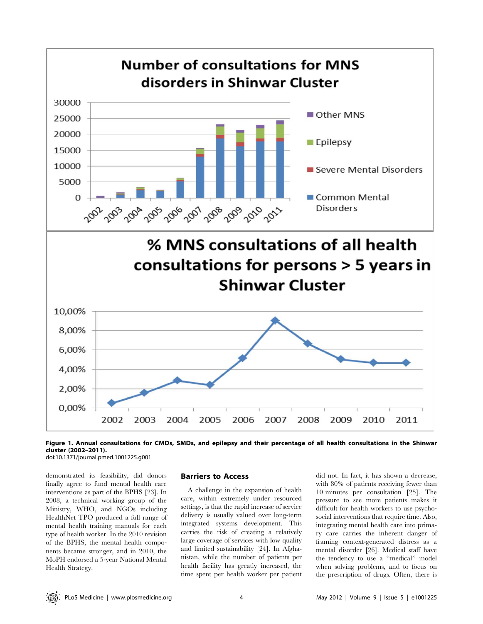

Figure 1. Annual consultations for CMDs, SMDs, and epilepsy and their percentage of all health consultations in the Shinwar cluster (2002–2011). doi:10.1371/journal.pmed.1001225.g001

demonstrated its feasibility, did donors finally agree to fund mental health care interventions as part of the BPHS [23]. In 2008, a technical working group of the Ministry, WHO, and NGOs including HealthNet TPO produced a full range of mental health training manuals for each type of health worker. In the 2010 revision of the BPHS, the mental health components became stronger, and in 2010, the MoPH endorsed a 5-year National Mental Health Strategy.

#### Barriers to Access

A challenge in the expansion of health care, within extremely under resourced settings, is that the rapid increase of service delivery is usually valued over long-term integrated systems development. This carries the risk of creating a relatively large coverage of services with low quality and limited sustainability [24]. In Afghanistan, while the number of patients per health facility has greatly increased, the time spent per health worker per patient did not. In fact, it has shown a decrease, with 80% of patients receiving fewer than 10 minutes per consultation [25]. The pressure to see more patients makes it difficult for health workers to use psychosocial interventions that require time. Also, integrating mental health care into primary care carries the inherent danger of framing context-generated distress as a mental disorder [26]. Medical staff have the tendency to use a ''medical'' model when solving problems, and to focus on the prescription of drugs. Often, there is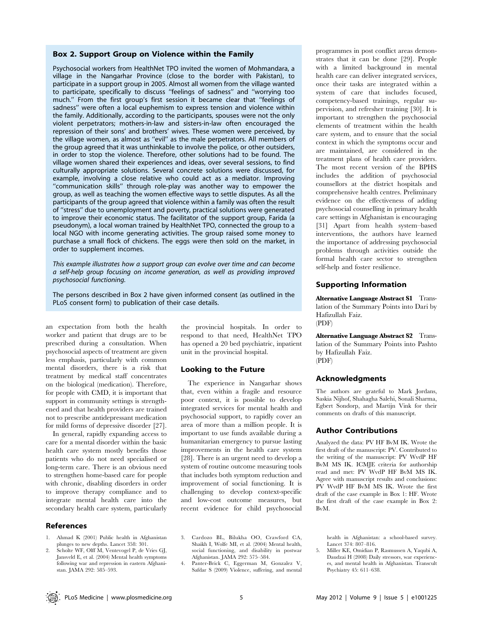#### Box 2. Support Group on Violence within the Family

Psychosocial workers from HealthNet TPO invited the women of Mohmandara, a village in the Nangarhar Province (close to the border with Pakistan), to participate in a support group in 2005. Almost all women from the village wanted to participate, specifically to discuss ''feelings of sadness'' and ''worrying too much.'' From the first group's first session it became clear that ''feelings of sadness'' were often a local euphemism to express tension and violence within the family. Additionally, according to the participants, spouses were not the only violent perpetrators; mothers-in-law and sisters-in-law often encouraged the repression of their sons' and brothers' wives. These women were perceived, by the village women, as almost as ''evil'' as the male perpetrators. All members of the group agreed that it was unthinkable to involve the police, or other outsiders, in order to stop the violence. Therefore, other solutions had to be found. The village women shared their experiences and ideas, over several sessions, to find culturally appropriate solutions. Several concrete solutions were discussed, for example, involving a close relative who could act as a mediator. Improving ''communication skills'' through role-play was another way to empower the group, as well as teaching the women effective ways to settle disputes. As all the participants of the group agreed that violence within a family was often the result of ''stress'' due to unemployment and poverty, practical solutions were generated to improve their economic status. The facilitator of the support group, Farida (a pseudonym), a local woman trained by HealthNet TPO, connected the group to a local NGO with income generating activities. The group raised some money to purchase a small flock of chickens. The eggs were then sold on the market, in order to supplement incomes.

This example illustrates how a support group can evolve over time and can become a self-help group focusing on income generation, as well as providing improved psychosocial functioning.

The persons described in Box 2 have given informed consent (as outlined in the PLoS consent form) to publication of their case details.

an expectation from both the health worker and patient that drugs are to be prescribed during a consultation. When psychosocial aspects of treatment are given less emphasis, particularly with common mental disorders, there is a risk that treatment by medical staff concentrates on the biological (medication). Therefore, for people with CMD, it is important that support in community settings is strengthened and that health providers are trained not to prescribe antidepressant medication for mild forms of depressive disorder [27].

In general, rapidly expanding access to care for a mental disorder within the basic health care system mostly benefits those patients who do not need specialised or long-term care. There is an obvious need to strengthen home-based care for people with chronic, disabling disorders in order to improve therapy compliance and to integrate mental health care into the secondary health care system, particularly

#### References

- 1. Ahmad K (2001) Public health in Afghanistan plunges to new depths. Lancet 358: 301.
- Scholte WF, Olff M, Ventevogel P, de Vries GJ, Jansveld E, et al. (2004) Mental health symptoms following war and repression in eastern Afghanistan. JAMA 292: 585–593.

the provincial hospitals. In order to respond to that need, HealthNet TPO has opened a 20 bed psychiatric, inpatient unit in the provincial hospital.

#### Looking to the Future

The experience in Nangarhar shows that, even within a fragile and resource poor context, it is possible to develop integrated services for mental health and psychosocial support, to rapidly cover an area of more than a million people. It is important to use funds available during a humanitarian emergency to pursue lasting improvements in the health care system [28]. There is an urgent need to develop a system of routine outcome measuring tools that includes both symptom reduction and improvement of social functioning. It is challenging to develop context-specific and low-cost outcome measures, but recent evidence for child psychosocial programmes in post conflict areas demonstrates that it can be done [29]. People with a limited background in mental health care can deliver integrated services, once their tasks are integrated within a system of care that includes focused, competency-based trainings, regular supervision, and refresher training [30]. It is important to strengthen the psychosocial elements of treatment within the health care system, and to ensure that the social context in which the symptoms occur and are maintained, are considered in the treatment plans of health care providers. The most recent version of the BPHS includes the addition of psychosocial counsellors at the district hospitals and comprehensive health centres. Preliminary evidence on the effectiveness of adding psychosocial counselling in primary health care settings in Afghanistan is encouraging [31] Apart from health system–based interventions, the authors have learned the importance of addressing psychosocial problems through activities outside the formal health care sector to strengthen self-help and foster resilience.

#### Supporting Information

Alternative Language Abstract S1 Translation of the Summary Points into Dari by Hafizullah Faiz. (PDF)

Alternative Language Abstract S2 Translation of the Summary Points into Pashto by Hafizullah Faiz. (PDF)

#### Acknowledgments

The authors are grateful to Mark Jordans, Saskia Nijhof, Shahagha Salehi, Sonali Sharma, Egbert Sondorp, and Martijn Vink for their comments on drafts of this manuscript.

#### Author Contributions

Analyzed the data: PV HF BvM IK. Wrote the first draft of the manuscript: PV. Contributed to the writing of the manuscript: PV WvdP HF BvM MS IK. ICMJE criteria for authorship read and met: PV WvdP HF BvM MS IK. Agree with manuscript results and conclusions: PV WvdP HF BvM MS IK. Wrote the first draft of the case example in Box 1: HF. Wrote the first draft of the case example in Box 2: BvM.

- 3. Cardozo BL, Bilukha OO, Crawford CA, Shaikh I, Wolfe MI, et al. (2004) Mental health, social functioning, and disability in postwar Afghanistan. JAMA 292: 575–584.
- 4. Panter-Brick C, Eggerman M, Gonzalez V, Safdar S (2009) Violence, suffering, and mental

health in Afghanistan: a school-based survey. Lancet 374: 807–816.

5. Miller KE, Omidian P, Rasmussen A, Yaqubi A, Daudzai H (2008) Daily stressors, war experiences, and mental health in Afghanistan. Transcult Psychiatry 45: 611–638.